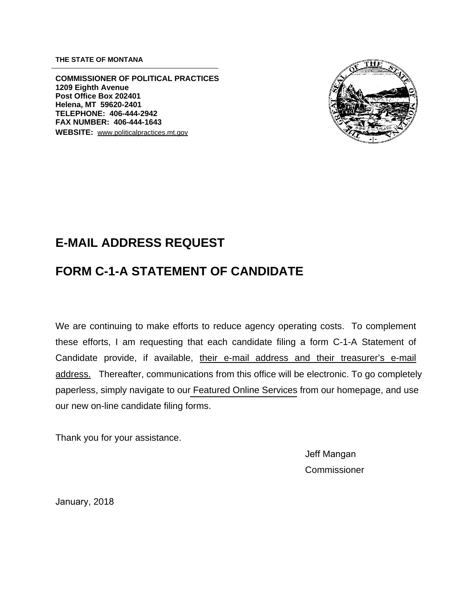**THE STATE OF MONTANA** 

**COMMISSIONER OF POLITICAL PRACTICES 1209 Eighth Avenue Post Office Box 202401 Helena, MT 59620-2401 TELEPHONE: 406-444-2942 FAX NUMBER: 406-444-1643 WEBSITE:** www.politicalpractices.mt.gov



## **E-MAIL ADDRESS REQUEST**

## **FORM C-1-A STATEMENT OF CANDIDATE**

We are continuing to make efforts to reduce agency operating costs. To complement these efforts, I am requesting that each candidate filing a form C-1-A Statement of Candidate provide, if available, their e-mail address and their treasurer's e-mail address. Thereafter, communications from this office will be electronic. To go completely paperless, simply navigate to ou[r Featured Online Services](https://app.mt.gov/cgi-bin/camptrack/campFile/campaignFile.cgi?action=Index) from our homepage, and use our new on-line candidate filing forms.

Thank you for your assistance.

Jeff Mangan **Commissioner** 

January, 2018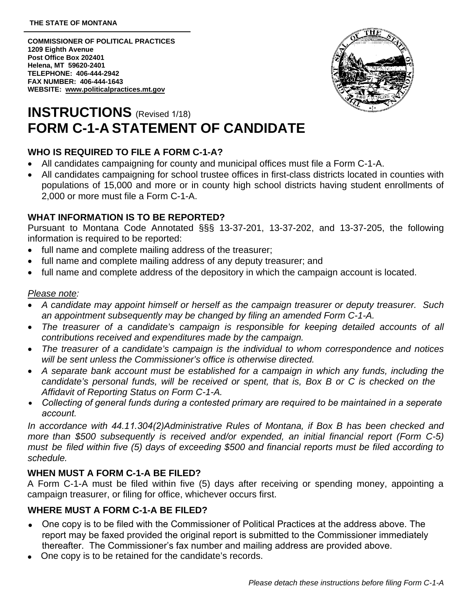**COMMISSIONER OF POLITICAL PRACTICES 1209 Eighth Avenue Post Office Box 202401 Helena, MT 59620-2401 TELEPHONE: 406-444-2942 FAX NUMBER: 406-444-1643 WEBSITE: www.politicalpractices.mt.gov** 



# **INSTRUCTIONS** (Revised 1/18) **FORM C-1-A STATEMENT OF CANDIDATE**

## **WHO IS REQUIRED TO FILE A FORM C-1-A?**

- All candidates campaigning for county and municipal offices must file a Form C-1-A.
- All candidates campaigning for school trustee offices in first-class districts located in counties with populations of 15,000 and more or in county high school districts having student enrollments of 2,000 or more must file a Form C-1-A.

#### **WHAT INFORMATION IS TO BE REPORTED?**

Pursuant to Montana Code Annotated §§§ 13-37-201, 13-37-202, and 13-37-205, the following information is required to be reported:

- full name and complete mailing address of the treasurer;
- full name and complete mailing address of any deputy treasurer; and
- full name and complete address of the depository in which the campaign account is located.

#### *Please note:*

- *A candidate may appoint himself or herself as the campaign treasurer or deputy treasurer. Such an appointment subsequently may be changed by filing an amended Form C-1-A.*
- *The treasurer of a candidate's campaign is responsible for keeping detailed accounts of all contributions received and expenditures made by the campaign.*
- *The treasurer of a candidate's campaign is the individual to whom correspondence and notices will be sent unless the Commissioner's office is otherwise directed.*
- *A separate bank account must be established for a campaign in which any funds, including the candidate's personal funds, will be received or spent, that is, Box B or C is checked on the Affidavit of Reporting Status on Form C-1-A.*
- *Collecting of general funds during a contested primary are required to be maintained in a seperate* •*account.*

*In accordance with 44.11.304(2)Administrative Rules of Montana, if Box B has been checked and more than \$500 subsequently is received and/or expended, an initial financial report (Form C-5) must be filed within five (5) days of exceeding \$500 and financial reports must be filed according to schedule.* 

### **WHEN MUST A FORM C-1-A BE FILED?**

A Form C-1-A must be filed within five (5) days after receiving or spending money, appointing a campaign treasurer, or filing for office, whichever occurs first.

### **WHERE MUST A FORM C-1-A BE FILED?**

- One copy is to be filed with the Commissioner of Political Practices at the address above. The report may be faxed provided the original report is submitted to the Commissioner immediately thereafter. The Commissioner's fax number and mailing address are provided above.
- One copy is to be retained for the candidate's records.